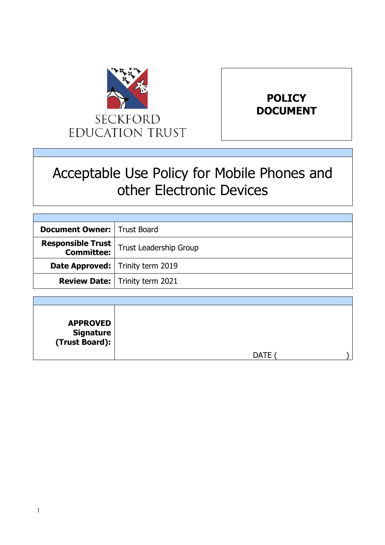



# Acceptable Use Policy for Mobile Phones and other Electronic Devices

| <b>Document Owner:   Trust Board</b>      |                                                                      |
|-------------------------------------------|----------------------------------------------------------------------|
|                                           | <b>Responsible Trust</b><br><b>Committee:</b> Trust Leadership Group |
| <b>Date Approved:</b>   Trinity term 2019 |                                                                      |
|                                           | <b>Review Date:</b>   Trinity term 2021                              |

| <b>APPROVED</b><br>  Signature<br>  (Trust Board): |             |
|----------------------------------------------------|-------------|
|                                                    | <b>DATE</b> |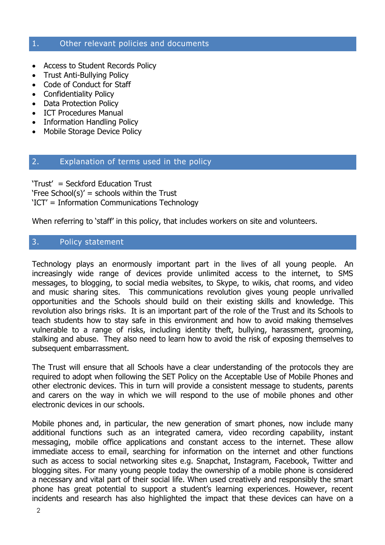#### 1. Other relevant policies and documents

- Access to Student Records Policy
- Trust Anti-Bullying Policy
- Code of Conduct for Staff
- Confidentiality Policy
- Data Protection Policy
- ICT Procedures Manual
- Information Handling Policy
- Mobile Storage Device Policy

#### 2. Explanation of terms used in the policy

'Trust' = Seckford Education Trust 'Free School(s)' = schools within the Trust 'ICT' = Information Communications Technology

When referring to 'staff' in this policy, that includes workers on site and volunteers.

#### 3. Policy statement

Technology plays an enormously important part in the lives of all young people. An increasingly wide range of devices provide unlimited access to the internet, to SMS messages, to blogging, to social media websites, to Skype, to wikis, chat rooms, and video and music sharing sites. This communications revolution gives young people unrivalled opportunities and the Schools should build on their existing skills and knowledge. This revolution also brings risks. It is an important part of the role of the Trust and its Schools to teach students how to stay safe in this environment and how to avoid making themselves vulnerable to a range of risks, including identity theft, bullying, harassment, grooming, stalking and abuse. They also need to learn how to avoid the risk of exposing themselves to subsequent embarrassment.

The Trust will ensure that all Schools have a clear understanding of the protocols they are required to adopt when following the SET Policy on the Acceptable Use of Mobile Phones and other electronic devices. This in turn will provide a consistent message to students, parents and carers on the way in which we will respond to the use of mobile phones and other electronic devices in our schools.

Mobile phones and, in particular, the new generation of smart phones, now include many additional functions such as an integrated camera, video recording capability, instant messaging, mobile office applications and constant access to the internet. These allow immediate access to email, searching for information on the internet and other functions such as access to social networking sites e.g. Snapchat, Instagram, Facebook, Twitter and blogging sites. For many young people today the ownership of a mobile phone is considered a necessary and vital part of their social life. When used creatively and responsibly the smart phone has great potential to support a student's learning experiences. However, recent incidents and research has also highlighted the impact that these devices can have on a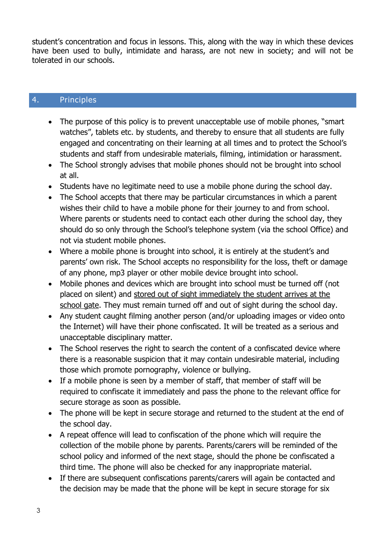student's concentration and focus in lessons. This, along with the way in which these devices have been used to bully, intimidate and harass, are not new in society; and will not be tolerated in our schools.

### 4. Principles

- The purpose of this policy is to prevent unacceptable use of mobile phones, "smart" watches", tablets etc. by students, and thereby to ensure that all students are fully engaged and concentrating on their learning at all times and to protect the School's students and staff from undesirable materials, filming, intimidation or harassment.
- The School strongly advises that mobile phones should not be brought into school at all.
- Students have no legitimate need to use a mobile phone during the school day.
- The School accepts that there may be particular circumstances in which a parent wishes their child to have a mobile phone for their journey to and from school. Where parents or students need to contact each other during the school day, they should do so only through the School's telephone system (via the school Office) and not via student mobile phones.
- Where a mobile phone is brought into school, it is entirely at the student's and parents' own risk. The School accepts no responsibility for the loss, theft or damage of any phone, mp3 player or other mobile device brought into school.
- Mobile phones and devices which are brought into school must be turned off (not placed on silent) and stored out of sight immediately the student arrives at the school gate. They must remain turned off and out of sight during the school day.
- Any student caught filming another person (and/or uploading images or video onto the Internet) will have their phone confiscated. It will be treated as a serious and unacceptable disciplinary matter.
- The School reserves the right to search the content of a confiscated device where there is a reasonable suspicion that it may contain undesirable material, including those which promote pornography, violence or bullying.
- If a mobile phone is seen by a member of staff, that member of staff will be required to confiscate it immediately and pass the phone to the relevant office for secure storage as soon as possible.
- The phone will be kept in secure storage and returned to the student at the end of the school day.
- A repeat offence will lead to confiscation of the phone which will require the collection of the mobile phone by parents. Parents/carers will be reminded of the school policy and informed of the next stage, should the phone be confiscated a third time. The phone will also be checked for any inappropriate material.
- If there are subsequent confiscations parents/carers will again be contacted and the decision may be made that the phone will be kept in secure storage for six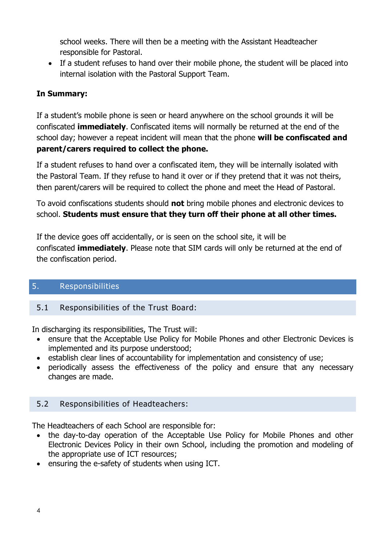school weeks. There will then be a meeting with the Assistant Headteacher responsible for Pastoral.

• If a student refuses to hand over their mobile phone, the student will be placed into internal isolation with the Pastoral Support Team.

## **In Summary:**

If a student's mobile phone is seen or heard anywhere on the school grounds it will be confiscated **immediately**. Confiscated items will normally be returned at the end of the school day; however a repeat incident will mean that the phone **will be confiscated and parent/carers required to collect the phone.**

If a student refuses to hand over a confiscated item, they will be internally isolated with the Pastoral Team. If they refuse to hand it over or if they pretend that it was not theirs, then parent/carers will be required to collect the phone and meet the Head of Pastoral.

To avoid confiscations students should **not** bring mobile phones and electronic devices to school. **Students must ensure that they turn off their phone at all other times.**

If the device goes off accidentally, or is seen on the school site, it will be confiscated **immediately**. Please note that SIM cards will only be returned at the end of the confiscation period.

## 5. Responsibilities

## 5.1 Responsibilities of the Trust Board:

In discharging its responsibilities, The Trust will:

- ensure that the Acceptable Use Policy for Mobile Phones and other Electronic Devices is implemented and its purpose understood;
- establish clear lines of accountability for implementation and consistency of use;
- periodically assess the effectiveness of the policy and ensure that any necessary changes are made.

#### 5.2 Responsibilities of Headteachers:

The Headteachers of each School are responsible for:

- the day-to-day operation of the Acceptable Use Policy for Mobile Phones and other Electronic Devices Policy in their own School, including the promotion and modeling of the appropriate use of ICT resources;
- ensuring the e-safety of students when using ICT.